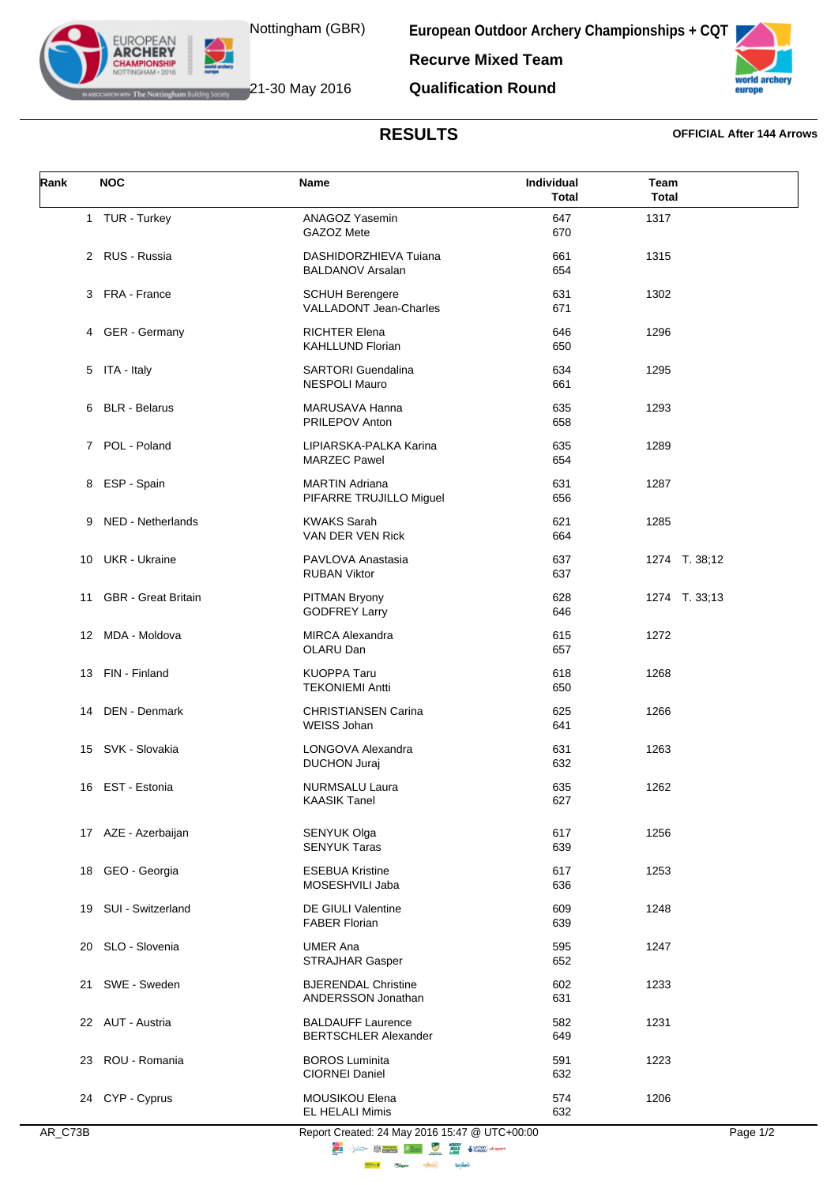

**EUROPEAN ARCHERY** 

**European Outdoor Archery Championships + CQT Recurve Mixed Team Qualification Round**

**IF The Nottingham Building Society** 21-30 May 2016

## **RESULTS OFFICIAL After 144 Arrows**

europe

| Rank | <b>NOC</b>                 | <b>Name</b>                                             | Individual<br><b>Total</b> | Team<br><b>Total</b> |
|------|----------------------------|---------------------------------------------------------|----------------------------|----------------------|
|      | 1 TUR - Turkey             | <b>ANAGOZ Yasemin</b><br>GAZOZ Mete                     | 647<br>670                 | 1317                 |
|      | 2 RUS - Russia             | DASHIDORZHIEVA Tuiana<br><b>BALDANOV Arsalan</b>        | 661<br>654                 | 1315                 |
|      | 3 FRA - France             | <b>SCHUH Berengere</b><br><b>VALLADONT Jean-Charles</b> | 631<br>671                 | 1302                 |
|      | 4 GER - Germany            | <b>RICHTER Elena</b><br><b>KAHLLUND Florian</b>         | 646<br>650                 | 1296                 |
|      | 5 ITA - Italy              | <b>SARTORI</b> Guendalina<br><b>NESPOLI Mauro</b>       | 634<br>661                 | 1295                 |
|      | 6 BLR - Belarus            | MARUSAVA Hanna<br><b>PRILEPOV Anton</b>                 | 635<br>658                 | 1293                 |
|      | 7 POL - Poland             | LIPIARSKA-PALKA Karina<br><b>MARZEC Pawel</b>           | 635<br>654                 | 1289                 |
|      | 8 ESP - Spain              | <b>MARTIN Adriana</b><br>PIFARRE TRUJILLO Miguel        | 631<br>656                 | 1287                 |
| 9    | NED - Netherlands          | <b>KWAKS Sarah</b><br>VAN DER VEN Rick                  | 621<br>664                 | 1285                 |
| 10   | <b>UKR</b> - Ukraine       | PAVLOVA Anastasia<br><b>RUBAN Viktor</b>                | 637<br>637                 | 1274 T. 38;12        |
| 11   | <b>GBR</b> - Great Britain | PITMAN Bryony<br><b>GODFREY Larry</b>                   | 628<br>646                 | 1274 T. 33;13        |
|      | 12 MDA - Moldova           | <b>MIRCA Alexandra</b><br>OLARU Dan                     | 615<br>657                 | 1272                 |
|      | 13 FIN - Finland           | <b>KUOPPA Taru</b><br><b>TEKONIEMI Antti</b>            | 618<br>650                 | 1268                 |
| 14   | DEN - Denmark              | <b>CHRISTIANSEN Carina</b><br>WEISS Johan               | 625<br>641                 | 1266                 |
|      | 15 SVK - Slovakia          | LONGOVA Alexandra<br><b>DUCHON Juraj</b>                | 631<br>632                 | 1263                 |
|      | 16 EST - Estonia           | NURMSALU Laura<br><b>KAASIK Tanel</b>                   | 635<br>627                 | 1262                 |
|      | 17 AZE - Azerbaijan        | SENYUK Olga<br><b>SENYUK Taras</b>                      | 617<br>639                 | 1256                 |
|      | 18 GEO - Georgia           | <b>ESEBUA Kristine</b><br>MOSESHVILI Jaba               | 617<br>636                 | 1253                 |
|      | 19 SUI - Switzerland       | <b>DE GIULI Valentine</b><br><b>FABER Florian</b>       | 609<br>639                 | 1248                 |
| 20   | SLO - Slovenia             | <b>UMER Ana</b><br><b>STRAJHAR Gasper</b>               | 595<br>652                 | 1247                 |
|      | 21 SWE - Sweden            | <b>BJERENDAL Christine</b><br>ANDERSSON Jonathan        | 602<br>631                 | 1233                 |
|      | 22 AUT - Austria           | <b>BALDAUFF Laurence</b><br><b>BERTSCHLER Alexander</b> | 582<br>649                 | 1231                 |
|      | 23 ROU - Romania           | <b>BOROS Luminita</b><br><b>CIORNEI Daniel</b>          | 591<br>632                 | 1223                 |
|      | 24 CYP - Cyprus            | MOUSIKOU Elena<br>EL HELALI Mimis                       | 574<br>632                 | 1206                 |